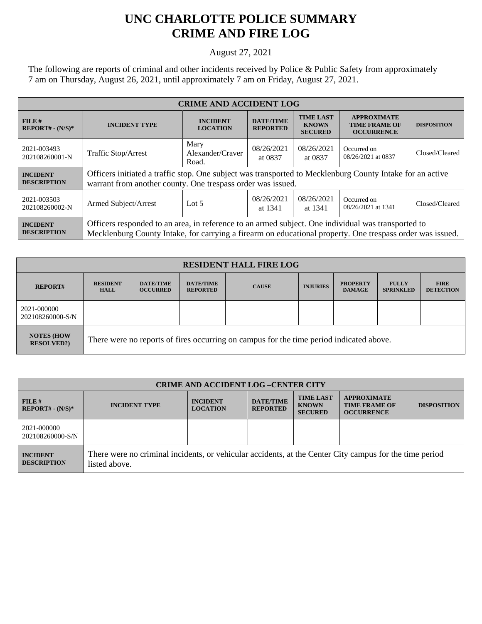## **UNC CHARLOTTE POLICE SUMMARY CRIME AND FIRE LOG**

August 27, 2021

The following are reports of criminal and other incidents received by Police & Public Safety from approximately 7 am on Thursday, August 26, 2021, until approximately 7 am on Friday, August 27, 2021.

| <b>CRIME AND ACCIDENT LOG</b>         |                                                                                                                                                                                                                 |                                                                                     |                                     |                                                    |                                                                 |                    |  |
|---------------------------------------|-----------------------------------------------------------------------------------------------------------------------------------------------------------------------------------------------------------------|-------------------------------------------------------------------------------------|-------------------------------------|----------------------------------------------------|-----------------------------------------------------------------|--------------------|--|
| FILE#<br>$REPORT# - (N/S)*$           | <b>INCIDENT TYPE</b>                                                                                                                                                                                            | <b>INCIDENT</b><br><b>LOCATION</b>                                                  | <b>DATE/TIME</b><br><b>REPORTED</b> | <b>TIME LAST</b><br><b>KNOWN</b><br><b>SECURED</b> | <b>APPROXIMATE</b><br><b>TIME FRAME OF</b><br><b>OCCURRENCE</b> | <b>DISPOSITION</b> |  |
| 2021-003493<br>202108260001-N         | Traffic Stop/Arrest                                                                                                                                                                                             | Mary<br>08/26/2021<br>08/26/2021<br>Alexander/Craver<br>at 0837<br>at 0837<br>Road. |                                     | Occurred on<br>08/26/2021 at 0837                  | Closed/Cleared                                                  |                    |  |
| <b>INCIDENT</b><br><b>DESCRIPTION</b> | Officers initiated a traffic stop. One subject was transported to Mecklenburg County Intake for an active<br>warrant from another county. One trespass order was issued.                                        |                                                                                     |                                     |                                                    |                                                                 |                    |  |
| 2021-003503<br>202108260002-N         | Armed Subject/Arrest                                                                                                                                                                                            | Lot $5$                                                                             | 08/26/2021<br>at 1341               | 08/26/2021<br>at 1341                              | Occurred on<br>08/26/2021 at 1341                               | Closed/Cleared     |  |
| <b>INCIDENT</b><br><b>DESCRIPTION</b> | Officers responded to an area, in reference to an armed subject. One individual was transported to<br>Mecklenburg County Intake, for carrying a firearm on educational property. One trespass order was issued. |                                                                                     |                                     |                                                    |                                                                 |                    |  |

| <b>RESIDENT HALL FIRE LOG</b>         |                                                                                         |                                     |                                     |              |                 |                                  |                                  |                                 |
|---------------------------------------|-----------------------------------------------------------------------------------------|-------------------------------------|-------------------------------------|--------------|-----------------|----------------------------------|----------------------------------|---------------------------------|
| <b>REPORT#</b>                        | <b>RESIDENT</b><br><b>HALL</b>                                                          | <b>DATE/TIME</b><br><b>OCCURRED</b> | <b>DATE/TIME</b><br><b>REPORTED</b> | <b>CAUSE</b> | <b>INJURIES</b> | <b>PROPERTY</b><br><b>DAMAGE</b> | <b>FULLY</b><br><b>SPRINKLED</b> | <b>FIRE</b><br><b>DETECTION</b> |
| 2021-000000<br>202108260000-S/N       |                                                                                         |                                     |                                     |              |                 |                                  |                                  |                                 |
| <b>NOTES (HOW</b><br><b>RESOLVED?</b> | There were no reports of fires occurring on campus for the time period indicated above. |                                     |                                     |              |                 |                                  |                                  |                                 |

| <b>CRIME AND ACCIDENT LOG -CENTER CITY</b> |                                                                                                                          |                                    |                                     |                                                    |                                                                 |                    |
|--------------------------------------------|--------------------------------------------------------------------------------------------------------------------------|------------------------------------|-------------------------------------|----------------------------------------------------|-----------------------------------------------------------------|--------------------|
| $FILE$ #<br>$REPORT# - (N/S)*$             | <b>INCIDENT TYPE</b>                                                                                                     | <b>INCIDENT</b><br><b>LOCATION</b> | <b>DATE/TIME</b><br><b>REPORTED</b> | <b>TIME LAST</b><br><b>KNOWN</b><br><b>SECURED</b> | <b>APPROXIMATE</b><br><b>TIME FRAME OF</b><br><b>OCCURRENCE</b> | <b>DISPOSITION</b> |
| 2021-000000<br>202108260000-S/N            |                                                                                                                          |                                    |                                     |                                                    |                                                                 |                    |
| <b>INCIDENT</b><br><b>DESCRIPTION</b>      | There were no criminal incidents, or vehicular accidents, at the Center City campus for the time period<br>listed above. |                                    |                                     |                                                    |                                                                 |                    |